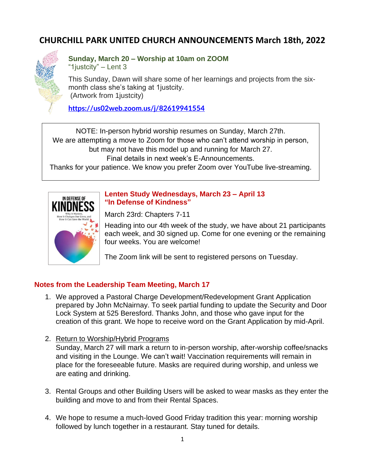# **CHURCHILL PARK UNITED CHURCH ANNOUNCEMENTS March 18th, 2022**



#### **Sunday, March 20 – Worship at 10am on ZOOM** "1justcity" – Lent 3

This Sunday, Dawn will share some of her learnings and projects from the sixmonth class she's taking at 1justcity. (Artwork from 1justcity)

**<https://us02web.zoom.us/j/82619941554>**

NOTE: In-person hybrid worship resumes on Sunday, March 27th. We are attempting a move to Zoom for those who can't attend worship in person, but may not have this model up and running for March 27. Final details in next week's E-Announcements.

Thanks for your patience. We know you prefer Zoom over YouTube live-streaming.



### **Lenten Study Wednesdays, March 23 – April 13 "In Defense of Kindness"**

March 23rd: Chapters 7-11

Heading into our 4th week of the study, we have about 21 participants each week, and 30 signed up. Come for one evening or the remaining four weeks. You are welcome!

The Zoom link will be sent to registered persons on Tuesday.

# **Notes from the Leadership Team Meeting, March 17**

- 1. We approved a Pastoral Charge Development/Redevelopment Grant Application prepared by John McNairnay. To seek partial funding to update the Security and Door Lock System at 525 Beresford. Thanks John, and those who gave input for the creation of this grant. We hope to receive word on the Grant Application by mid-April.
- 2. Return to Worship/Hybrid Programs

Sunday, March 27 will mark a return to in-person worship, after-worship coffee/snacks and visiting in the Lounge. We can't wait! Vaccination requirements will remain in place for the foreseeable future. Masks are required during worship, and unless we are eating and drinking.

- 3. Rental Groups and other Building Users will be asked to wear masks as they enter the building and move to and from their Rental Spaces.
- 4. We hope to resume a much-loved Good Friday tradition this year: morning worship followed by lunch together in a restaurant. Stay tuned for details.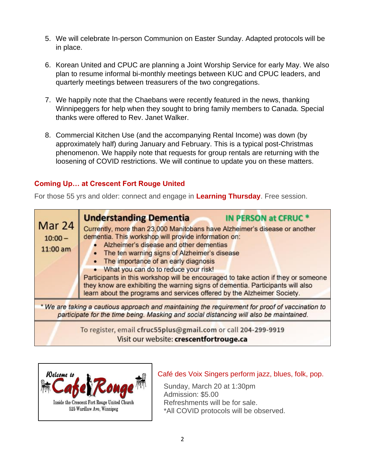- 5. We will celebrate In-person Communion on Easter Sunday. Adapted protocols will be in place.
- 6. Korean United and CPUC are planning a Joint Worship Service for early May. We also plan to resume informal bi-monthly meetings between KUC and CPUC leaders, and quarterly meetings between treasurers of the two congregations.
- 7. We happily note that the Chaebans were recently featured in the news, thanking Winnipeggers for help when they sought to bring family members to Canada. Special thanks were offered to Rev. Janet Walker.
- 8. Commercial Kitchen Use (and the accompanying Rental Income) was down (by approximately half) during January and February. This is a typical post-Christmas phenomenon. We happily note that requests for group rentals are returning with the loosening of COVID restrictions. We will continue to update you on these matters.

# **Coming Up… at Crescent Fort Rouge United**

For those 55 yrs and older: connect and engage in **Learning Thursday**. Free session.





#### Café des Voix Singers perform jazz, blues, folk, pop. Ĭ

 Sunday, March 20 at 1:30pm Admission: \$5.00 Refreshments will be for sale. \*All COVID protocols will be observed.